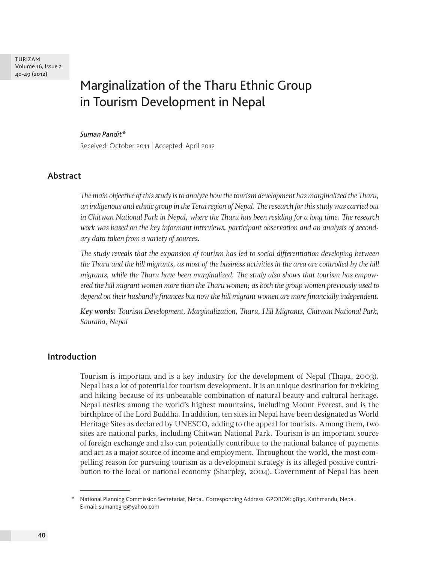TURIZAM Volume 16, Issue 2 40-49 (2012)

# Marginalization of the Tharu Ethnic Group in Tourism Development in Nepal

#### *Suman Pandit\**

Received: October 2011 | Accepted: April 2012

# **Abstract**

*The main objective of this study is to analyze how the tourism development has marginalized the Tharu, an indigenous and ethnic group in the Terai region of Nepal. The research for this study was carried out in Chitwan National Park in Nepal, where the Tharu has been residing for a long time. The research work was based on the key informant interviews, participant observation and an analysis of secondary data taken from a variety of sources.*

*The study reveals that the expansion of tourism has led to social differentiation developing between the Tharu and the hill migrants, as most of the business activities in the area are controlled by the hill migrants, while the Tharu have been marginalized. The study also shows that tourism has empowered the hill migrant women more than the Tharu women; as both the group women previously used to depend on their husband's finances but now the hill migrant women are more financially independent.* 

*Key words: Tourism Development, Marginalization, Tharu, Hill Migrants, Chitwan National Park, Sauraha, Nepal*

## **Introduction**

Tourism is important and is a key industry for the development of Nepal (Thapa, 2003). Nepal has a lot of potential for tourism development. It is an unique destination for trekking and hiking because of its unbeatable combination of natural beauty and cultural heritage. Nepal nestles among the world's highest mountains, including Mount Everest, and is the birthplace of the Lord Buddha. In addition, ten sites in Nepal have been designated as World Heritage Sites as declared by UNESCO, adding to the appeal for tourists. Among them, two sites are national parks, including Chitwan National Park. Tourism is an important source of foreign exchange and also can potentially contribute to the national balance of payments and act as a major source of income and employment. Throughout the world, the most compelling reason for pursuing tourism as a development strategy is its alleged positive contribution to the local or national economy (Sharpley, 2004). Government of Nepal has been

National Planning Commission Secretariat, Nepal. Corresponding Address: GPOBOX: 9830, Kathmandu, Nepal. E-mail: suman0315@yahoo.com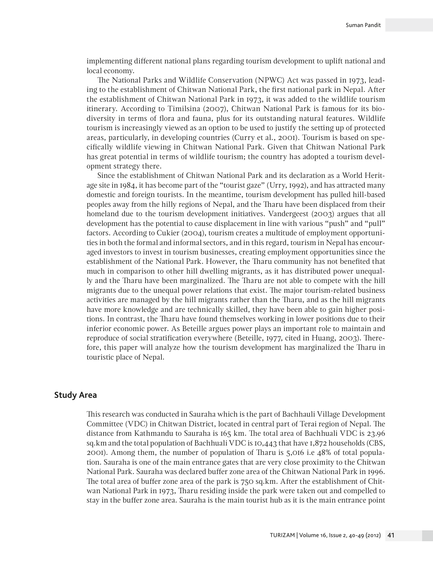implementing different national plans regarding tourism development to uplift national and local economy.

The National Parks and Wildlife Conservation (NPWC) Act was passed in 1973, leading to the establishment of Chitwan National Park, the first national park in Nepal. After the establishment of Chitwan National Park in 1973, it was added to the wildlife tourism itinerary. According to Timilsina (2007), Chitwan National Park is famous for its biodiversity in terms of flora and fauna, plus for its outstanding natural features. Wildlife tourism is increasingly viewed as an option to be used to justify the setting up of protected areas, particularly, in developing countries (Curry et al., 2001). Tourism is based on specifically wildlife viewing in Chitwan National Park. Given that Chitwan National Park has great potential in terms of wildlife tourism; the country has adopted a tourism development strategy there.

Since the establishment of Chitwan National Park and its declaration as a World Heritage site in 1984, it has become part of the "tourist gaze" (Urry, 1992), and has attracted many domestic and foreign tourists. In the meantime, tourism development has pulled hill-based peoples away from the hilly regions of Nepal, and the Tharu have been displaced from their homeland due to the tourism development initiatives. Vandergeest (2003) argues that all development has the potential to cause displacement in line with various "push" and "pull" factors. According to Cukier (2004), tourism creates a multitude of employment opportunities in both the formal and informal sectors, and in this regard, tourism in Nepal has encouraged investors to invest in tourism businesses, creating employment opportunities since the establishment of the National Park. However, the Tharu community has not benefited that much in comparison to other hill dwelling migrants, as it has distributed power unequally and the Tharu have been marginalized. The Tharu are not able to compete with the hill migrants due to the unequal power relations that exist. The major tourism-related business activities are managed by the hill migrants rather than the Tharu, and as the hill migrants have more knowledge and are technically skilled, they have been able to gain higher positions. In contrast, the Tharu have found themselves working in lower positions due to their inferior economic power. As Beteille argues power plays an important role to maintain and reproduce of social stratification everywhere (Beteille, 1977, cited in Huang, 2003). Therefore, this paper will analyze how the tourism development has marginalized the Tharu in touristic place of Nepal.

### **Study Area**

This research was conducted in Sauraha which is the part of Bachhauli Village Development Committee (VDC) in Chitwan District, located in central part of Terai region of Nepal. The distance from Kathmandu to Sauraha is 165 km. The total area of Bachhuali VDC is 23.96 sq.km and the total population of Bachhuali VDC is 10,443 that have 1,872 households (CBS, 2001). Among them, the number of population of Tharu is 5,016 i.e 48% of total population. Sauraha is one of the main entrance gates that are very close proximity to the Chitwan National Park. Sauraha was declared buffer zone area of the Chitwan National Park in 1996. The total area of buffer zone area of the park is 750 sq.km. After the establishment of Chitwan National Park in 1973, Tharu residing inside the park were taken out and compelled to stay in the buffer zone area. Sauraha is the main tourist hub as it is the main entrance point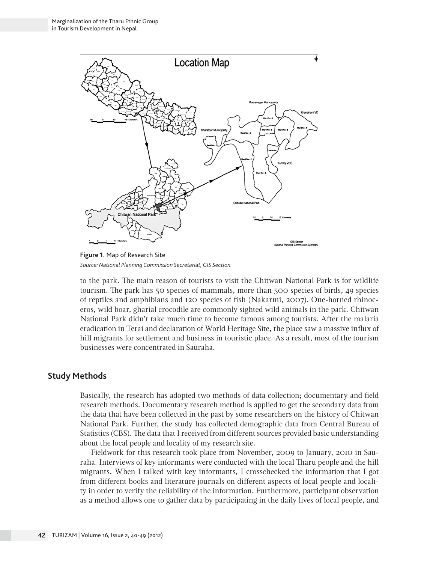

**Figure 1.** Map of Research Site *Source: National Planning Commission Secretariat, GIS Section.*

to the park. The main reason of tourists to visit the Chitwan National Park is for wildlife tourism. The park has 50 species of mammals, more than 500 species of birds, 49 species of reptiles and amphibians and 120 species of fish (Nakarmi, 2007). One-horned rhinoceros, wild boar, gharial crocodile are commonly sighted wild animals in the park. Chitwan National Park didn't take much time to become famous among tourists. After the malaria eradication in Terai and declaration of World Heritage Site, the place saw a massive influx of hill migrants for settlement and business in touristic place. As a result, most of the tourism businesses were concentrated in Sauraha.

# **Study Methods**

Basically, the research has adopted two methods of data collection; documentary and field research methods. Documentary research method is applied to get the secondary data from the data that have been collected in the past by some researchers on the history of Chitwan National Park. Further, the study has collected demographic data from Central Bureau of Statistics (CBS). The data that I received from different sources provided basic understanding about the local people and locality of my research site.

Fieldwork for this research took place from November, 2009 to January, 2010 in Sauraha. Interviews of key informants were conducted with the local Tharu people and the hill migrants. When I talked with key informants, I crosschecked the information that I got from different books and literature journals on different aspects of local people and locality in order to verify the reliability of the information. Furthermore, participant observation as a method allows one to gather data by participating in the daily lives of local people, and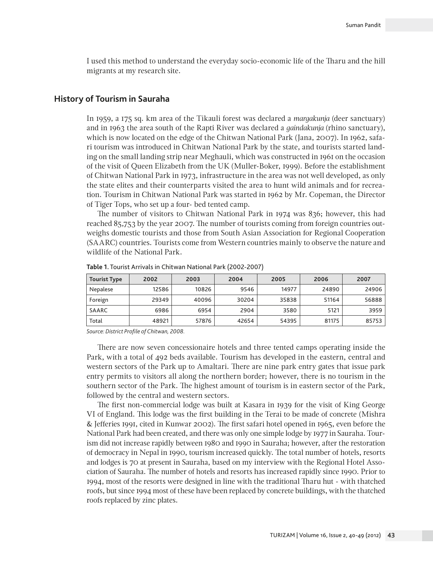I used this method to understand the everyday socio-economic life of the Tharu and the hill migrants at my research site.

# **History of Tourism in Sauraha**

In 1959, a 175 sq. km area of the Tikauli forest was declared a *margakunja* (deer sanctuary) and in 1963 the area south of the Rapti River was declared a *gaindakunja* (rhino sanctuary), which is now located on the edge of the Chitwan National Park (Jana, 2007). In 1962, safari tourism was introduced in Chitwan National Park by the state, and tourists started landing on the small landing strip near Meghauli, which was constructed in 1961 on the occasion of the visit of Queen Elizabeth from the UK (Muller-Boker, 1999). Before the establishment of Chitwan National Park in 1973, infrastructure in the area was not well developed, as only the state elites and their counterparts visited the area to hunt wild animals and for recreation. Tourism in Chitwan National Park was started in 1962 by Mr. Copeman, the Director of Tiger Tops, who set up a four- bed tented camp.

The number of visitors to Chitwan National Park in 1974 was 836; however, this had reached 85,753 by the year 2007. The number of tourists coming from foreign countries outweighs domestic tourists and those from South Asian Association for Regional Cooperation (SAARC) countries. Tourists come from Western countries mainly to observe the nature and wildlife of the National Park.

| <b>Tourist Type</b> | 2002  | 2003  | 2004  | 2005  | 2006  | 2007  |
|---------------------|-------|-------|-------|-------|-------|-------|
| Nepalese            | 12586 | 10826 | 9546  | 14977 | 24890 | 24906 |
| Foreign             | 29349 | 40096 | 30204 | 35838 | 51164 | 56888 |
| SAARC               | 6986  | 6954  | 2904  | 3580  | 5121  | 3959  |
| Total               | 48921 | 57876 | 42654 | 54395 | 81175 | 85753 |

**Table 1.** Tourist Arrivals in Chitwan National Park (2002-2007)

*Source: District Profile of Chitwan, 2008.*

There are now seven concessionaire hotels and three tented camps operating inside the Park, with a total of 492 beds available. Tourism has developed in the eastern, central and western sectors of the Park up to Amaltari. There are nine park entry gates that issue park entry permits to visitors all along the northern border; however, there is no tourism in the southern sector of the Park. The highest amount of tourism is in eastern sector of the Park, followed by the central and western sectors.

The first non-commercial lodge was built at Kasara in 1939 for the visit of King George VI of England. This lodge was the first building in the Terai to be made of concrete (Mishra & Jefferies 1991, cited in Kunwar 2002). The first safari hotel opened in 1965, even before the National Park had been created, and there was only one simple lodge by 1977 in Sauraha. Tourism did not increase rapidly between 1980 and 1990 in Sauraha; however, after the restoration of democracy in Nepal in 1990, tourism increased quickly. The total number of hotels, resorts and lodges is 70 at present in Sauraha, based on my interview with the Regional Hotel Association of Sauraha. The number of hotels and resorts has increased rapidly since 1990. Prior to 1994, most of the resorts were designed in line with the traditional Tharu hut - with thatched roofs, but since 1994 most of these have been replaced by concrete buildings, with the thatched roofs replaced by zinc plates.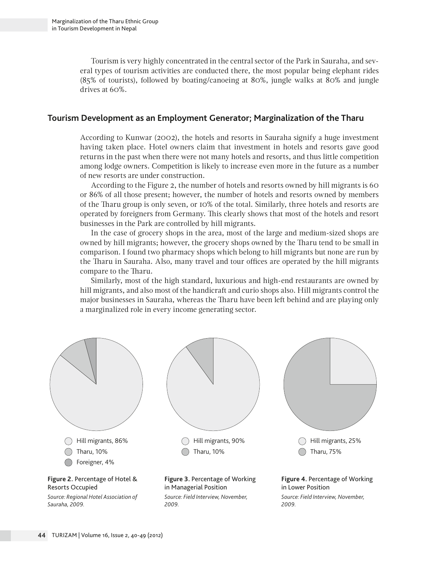Tourism is very highly concentrated in the central sector of the Park in Sauraha, and several types of tourism activities are conducted there, the most popular being elephant rides (85% of tourists), followed by boating/canoeing at 80%, jungle walks at 80% and jungle drives at 60%.

# **Tourism Development as an Employment Generator; Marginalization of the Tharu**

According to Kunwar (2002), the hotels and resorts in Sauraha signify a huge investment having taken place. Hotel owners claim that investment in hotels and resorts gave good returns in the past when there were not many hotels and resorts, and thus little competition among lodge owners. Competition is likely to increase even more in the future as a number of new resorts are under construction.

According to the Figure 2, the number of hotels and resorts owned by hill migrants is 60 or 86% of all those present; however, the number of hotels and resorts owned by members of the Tharu group is only seven, or 10% of the total. Similarly, three hotels and resorts are operated by foreigners from Germany. This clearly shows that most of the hotels and resort businesses in the Park are controlled by hill migrants.

In the case of grocery shops in the area, most of the large and medium-sized shops are owned by hill migrants; however, the grocery shops owned by the Tharu tend to be small in comparison. I found two pharmacy shops which belong to hill migrants but none are run by the Tharu in Sauraha. Also, many travel and tour offices are operated by the hill migrants compare to the Tharu.

Similarly, most of the high standard, luxurious and high-end restaurants are owned by hill migrants, and also most of the handicraft and curio shops also. Hill migrants control the major businesses in Sauraha, whereas the Tharu have been left behind and are playing only a marginalized role in every income generating sector.

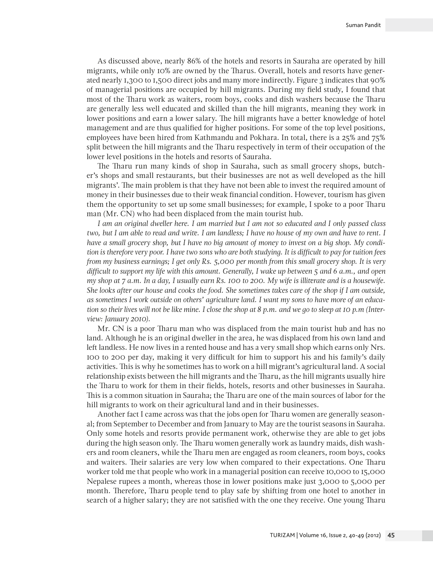As discussed above, nearly 86% of the hotels and resorts in Sauraha are operated by hill migrants, while only 10% are owned by the Tharus. Overall, hotels and resorts have generated nearly 1,300 to 1,500 direct jobs and many more indirectly. Figure 3 indicates that 90% of managerial positions are occupied by hill migrants. During my field study, I found that most of the Tharu work as waiters, room boys, cooks and dish washers because the Tharu are generally less well educated and skilled than the hill migrants, meaning they work in lower positions and earn a lower salary. The hill migrants have a better knowledge of hotel management and are thus qualified for higher positions. For some of the top level positions, employees have been hired from Kathmandu and Pokhara. In total, there is a 25% and 75% split between the hill migrants and the Tharu respectively in term of their occupation of the lower level positions in the hotels and resorts of Sauraha.

The Tharu run many kinds of shop in Sauraha, such as small grocery shops, butcher's shops and small restaurants, but their businesses are not as well developed as the hill migrants'. The main problem is that they have not been able to invest the required amount of money in their businesses due to their weak financial condition. However, tourism has given them the opportunity to set up some small businesses; for example, I spoke to a poor Tharu man (Mr. CN) who had been displaced from the main tourist hub.

*I am an original dweller here. I am married but I am not so educated and I only passed class two, but I am able to read and write. I am landless; I have no house of my own and have to rent. I have a small grocery shop, but I have no big amount of money to invest on a big shop. My condition is therefore very poor. I have two sons who are both studying. It is difficult to pay for tuition fees from my business earnings; I get only Rs. 5,000 per month from this small grocery shop. It is very difficult to support my life with this amount. Generally, I wake up between 5 and 6 a.m., and open my shop at 7 a.m. In a day, I usually earn Rs. 100 to 200. My wife is illiterate and is a housewife. She looks after our house and cooks the food. She sometimes takes care of the shop if I am outside, as sometimes I work outside on others' agriculture land. I want my sons to have more of an education so their lives will not be like mine. I close the shop at 8 p.m. and we go to sleep at 10 p.m (Interview: January 2010).*

Mr. CN is a poor Tharu man who was displaced from the main tourist hub and has no land. Although he is an original dweller in the area, he was displaced from his own land and left landless. He now lives in a rented house and has a very small shop which earns only Nrs. 100 to 200 per day, making it very difficult for him to support his and his family's daily activities. This is why he sometimes has to work on a hill migrant's agricultural land. A social relationship exists between the hill migrants and the Tharu, as the hill migrants usually hire the Tharu to work for them in their fields, hotels, resorts and other businesses in Sauraha. This is a common situation in Sauraha; the Tharu are one of the main sources of labor for the hill migrants to work on their agricultural land and in their businesses.

Another fact I came across was that the jobs open for Tharu women are generally seasonal; from September to December and from January to May are the tourist seasons in Sauraha. Only some hotels and resorts provide permanent work, otherwise they are able to get jobs during the high season only. The Tharu women generally work as laundry maids, dish washers and room cleaners, while the Tharu men are engaged as room cleaners, room boys, cooks and waiters. Their salaries are very low when compared to their expectations. One Tharu worker told me that people who work in a managerial position can receive 10,000 to 15,000 Nepalese rupees a month, whereas those in lower positions make just 3,000 to 5,000 per month. Therefore, Tharu people tend to play safe by shifting from one hotel to another in search of a higher salary; they are not satisfied with the one they receive. One young Tharu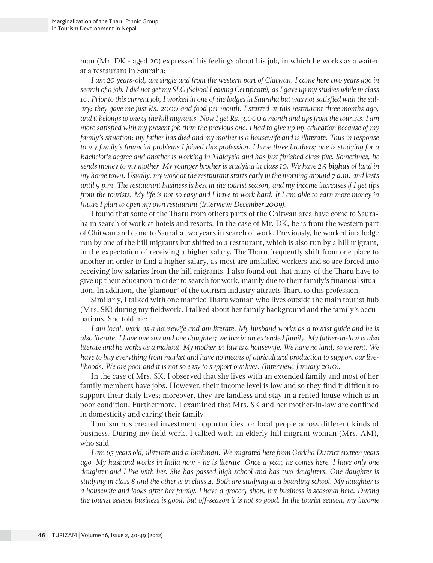man (Mr. DK - aged 20) expressed his feelings about his job, in which he works as a waiter at a restaurant in Sauraha:

*I am 20 years-old, am single and from the western part of Chitwan. I came here two years ago in search of a job. I did not get my SLC (School Leaving Certificate), as I gave up my studies while in class 10. Prior to this current job, I worked in one of the lodges in Sauraha but was not satisfied with the salary; they gave me just Rs. 2000 and food per month. I started at this restaurant three months ago, and it belongs to one of the hill migrants. Now I get Rs. 3,000 a month and tips from the tourists. I am more satisfied with my present job than the previous one. I had to give up my education because of my family's situation; my father has died and my mother is a housewife and is illiterate. Thus in response to my family's financial problems I joined this profession. I have three brothers; one is studying for a Bachelor's degree and another is working in Malaysia and has just finished class five. Sometimes, he sends money to my mother. My younger brother is studying in class 10. We have 2.5 <i>bighas* of land in *my home town. Usually, my work at the restaurant starts early in the morning around 7 a.m. and lasts until 9 p.m. The restaurant business is best in the tourist season, and my income increases if I get tips from the tourists. My life is not so easy and I have to work hard. If I am able to earn more money in future I plan to open my own restaurant (Interview: December 2009).*

I found that some of the Tharu from others parts of the Chitwan area have come to Sauraha in search of work at hotels and resorts. In the case of Mr. DK, he is from the western part of Chitwan and came to Sauraha two years in search of work. Previously, he worked in a lodge run by one of the hill migrants but shifted to a restaurant, which is also run by a hill migrant, in the expectation of receiving a higher salary. The Tharu frequently shift from one place to another in order to find a higher salary, as most are unskilled workers and so are forced into receiving low salaries from the hill migrants. I also found out that many of the Tharu have to give up their education in order to search for work, mainly due to their family's financial situation. In addition, the 'glamour' of the tourism industry attracts Tharu to this profession.

Similarly, I talked with one married Tharu woman who lives outside the main tourist hub (Mrs. SK) during my fieldwork. I talked about her family background and the family's occupations. She told me:

*I am local, work as a housewife and am literate. My husband works as a tourist guide and he is also literate. I have one son and one daughter; we live in an extended family. My father-in-law is also literate and he works as a mahout. My mother-in-law is a housewife. We have no land, so we rent. We have to buy everything from market and have no means of agricultural production to support our livelihoods. We are poor and it is not so easy to support our lives. (Interview, January 2010).*

In the case of Mrs. SK, I observed that she lives with an extended family and most of her family members have jobs. However, their income level is low and so they find it difficult to support their daily lives; moreover, they are landless and stay in a rented house which is in poor condition. Furthermore, I examined that Mrs. SK and her mother-in-law are confined in domesticity and caring their family.

Tourism has created investment opportunities for local people across different kinds of business. During my field work, I talked with an elderly hill migrant woman (Mrs. AM), who said:

*I am 65 years old, illiterate and a Brahman. We migrated here from Gorkha District sixteen years ago. My husband works in India now - he is literate. Once a year, he comes here. I have only one daughter and I live with her. She has passed high school and has two daughters. One daughter is studying in class 8 and the other is in class 4. Both are studying at a boarding school. My daughter is a housewife and looks after her family. I have a grocery shop, but business is seasonal here. During the tourist season business is good, but off-season it is not so good. In the tourist season, my income*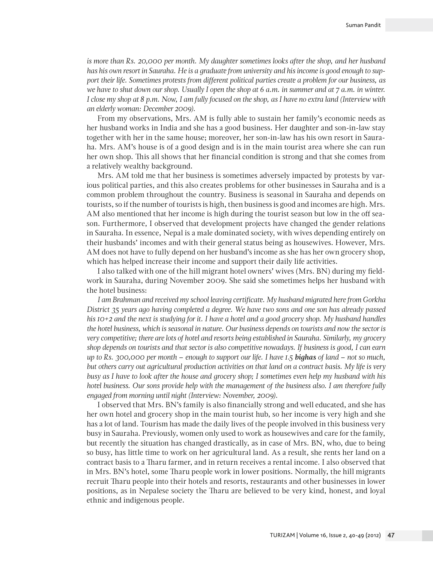*is more than Rs. 20,000 per month. My daughter sometimes looks after the shop, and her husband has his own resort in Sauraha. He is a graduate from university and his income is good enough to support their life. Sometimes protests from different political parties create a problem for our business, as we have to shut down our shop. Usually I open the shop at 6 a.m. in summer and at 7 a.m. in winter. I close my shop at 8 p.m. Now, I am fully focused on the shop, as I have no extra land (Interview with an elderly woman: December 2009).*

From my observations, Mrs. AM is fully able to sustain her family's economic needs as her husband works in India and she has a good business. Her daughter and son-in-law stay together with her in the same house; moreover, her son-in-law has his own resort in Sauraha. Mrs. AM's house is of a good design and is in the main tourist area where she can run her own shop. This all shows that her financial condition is strong and that she comes from a relatively wealthy background.

Mrs. AM told me that her business is sometimes adversely impacted by protests by various political parties, and this also creates problems for other businesses in Sauraha and is a common problem throughout the country. Business is seasonal in Sauraha and depends on tourists, so if the number of tourists is high, then business is good and incomes are high. Mrs. AM also mentioned that her income is high during the tourist season but low in the off season. Furthermore, I observed that development projects have changed the gender relations in Sauraha. In essence, Nepal is a male dominated society, with wives depending entirely on their husbands' incomes and with their general status being as housewives. However, Mrs. AM does not have to fully depend on her husband's income as she has her own grocery shop, which has helped increase their income and support their daily life activities.

I also talked with one of the hill migrant hotel owners' wives (Mrs. BN) during my fieldwork in Sauraha, during November 2009. She said she sometimes helps her husband with the hotel business:

*I am Brahman and received my school leaving certificate. My husband migrated here from Gorkha District 35 years ago having completed a degree. We have two sons and one son has already passed his 10+2 and the next is studying for it. I have a hotel and a good grocery shop. My husband handles the hotel business, which is seasonal in nature. Our business depends on tourists and now the sector is very competitive; there are lots of hotel and resorts being established in Sauraha. Similarly, my grocery shop depends on tourists and that sector is also competitive nowadays. If business is good, I can earn up to Rs. 300,000 per month – enough to support our life. I have 1.5 bighas of land – not so much, but others carry out agricultural production activities on that land on a contract basis. My life is very busy as I have to look after the house and grocery shop; I sometimes even help my husband with his hotel business. Our sons provide help with the management of the business also. I am therefore fully engaged from morning until night (Interview: November, 2009).*

I observed that Mrs. BN's family is also financially strong and well educated, and she has her own hotel and grocery shop in the main tourist hub, so her income is very high and she has a lot of land. Tourism has made the daily lives of the people involved in this business very busy in Sauraha. Previously, women only used to work as housewives and care for the family, but recently the situation has changed drastically, as in case of Mrs. BN, who, due to being so busy, has little time to work on her agricultural land. As a result, she rents her land on a contract basis to a Tharu farmer, and in return receives a rental income. I also observed that in Mrs. BN's hotel, some Tharu people work in lower positions. Normally, the hill migrants recruit Tharu people into their hotels and resorts, restaurants and other businesses in lower positions, as in Nepalese society the Tharu are believed to be very kind, honest, and loyal ethnic and indigenous people.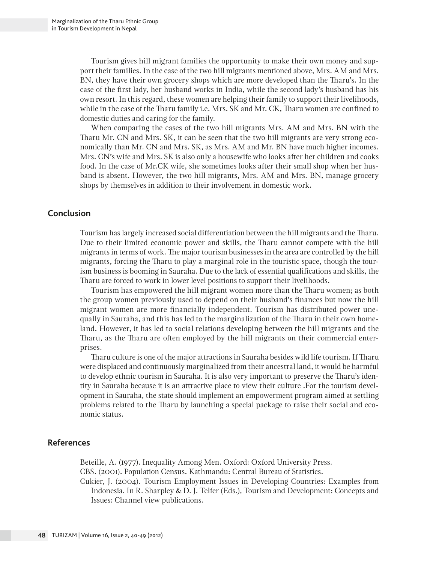Tourism gives hill migrant families the opportunity to make their own money and support their families. In the case of the two hill migrants mentioned above, Mrs. AM and Mrs. BN, they have their own grocery shops which are more developed than the Tharu's. In the case of the first lady, her husband works in India, while the second lady's husband has his own resort. In this regard, these women are helping their family to support their livelihoods, while in the case of the Tharu family i.e. Mrs. SK and Mr. CK, Tharu women are confined to domestic duties and caring for the family.

When comparing the cases of the two hill migrants Mrs. AM and Mrs. BN with the Tharu Mr. CN and Mrs. SK, it can be seen that the two hill migrants are very strong economically than Mr. CN and Mrs. SK, as Mrs. AM and Mr. BN have much higher incomes. Mrs. CN's wife and Mrs. SK is also only a housewife who looks after her children and cooks food. In the case of Mr.CK wife, she sometimes looks after their small shop when her husband is absent. However, the two hill migrants, Mrs. AM and Mrs. BN, manage grocery shops by themselves in addition to their involvement in domestic work.

# **Conclusion**

Tourism has largely increased social differentiation between the hill migrants and the Tharu. Due to their limited economic power and skills, the Tharu cannot compete with the hill migrants in terms of work. The major tourism businesses in the area are controlled by the hill migrants, forcing the Tharu to play a marginal role in the touristic space, though the tourism business is booming in Sauraha. Due to the lack of essential qualifications and skills, the Tharu are forced to work in lower level positions to support their livelihoods.

Tourism has empowered the hill migrant women more than the Tharu women; as both the group women previously used to depend on their husband's finances but now the hill migrant women are more financially independent. Tourism has distributed power unequally in Sauraha, and this has led to the marginalization of the Tharu in their own homeland. However, it has led to social relations developing between the hill migrants and the Tharu, as the Tharu are often employed by the hill migrants on their commercial enterprises.

Tharu culture is one of the major attractions in Sauraha besides wild life tourism. If Tharu were displaced and continuously marginalized from their ancestral land, it would be harmful to develop ethnic tourism in Sauraha. It is also very important to preserve the Tharu's identity in Sauraha because it is an attractive place to view their culture .For the tourism development in Sauraha, the state should implement an empowerment program aimed at settling problems related to the Tharu by launching a special package to raise their social and economic status.

# **References**

Beteille, A. (1977). Inequality Among Men. Oxford: Oxford University Press. CBS. (2001). Population Census. Kathmandu: Central Bureau of Statistics.

Cukier, J. (2004). Tourism Employment Issues in Developing Countries: Examples from Indonesia. In R. Sharpley & D. J. Telfer (Eds.), Tourism and Development: Concepts and Issues: Channel view publications.